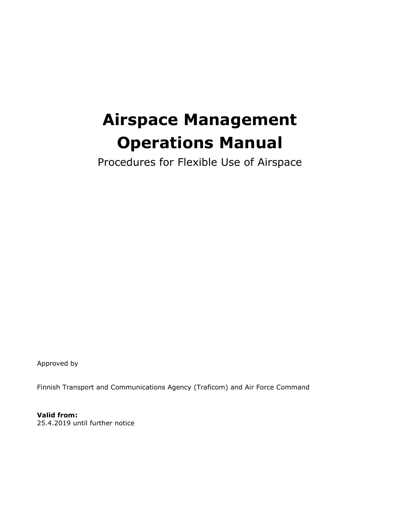# **Airspace Management Operations Manual**

Procedures for Flexible Use of Airspace

Approved by

Finnish Transport and Communications Agency (Traficom) and Air Force Command

**Valid from:** 25.4.2019 until further notice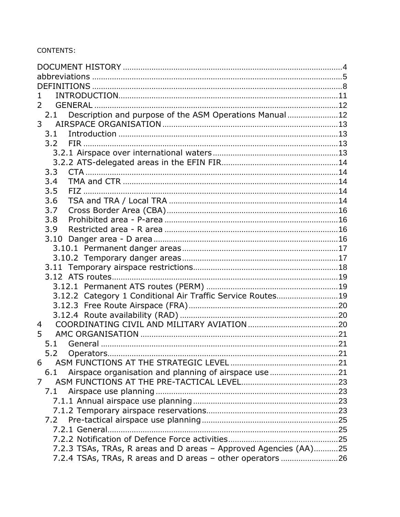#### CONTENTS:

| 2                                                                |  |
|------------------------------------------------------------------|--|
| Description and purpose of the ASM Operations Manual 12<br>2.1   |  |
| 3 <sup>7</sup>                                                   |  |
| 3.1                                                              |  |
| 3.2                                                              |  |
|                                                                  |  |
|                                                                  |  |
| 3.3                                                              |  |
| 3.4                                                              |  |
| 3.5                                                              |  |
| 3.6                                                              |  |
| 3.7                                                              |  |
| 3.8                                                              |  |
| 3.9                                                              |  |
| 3.10                                                             |  |
|                                                                  |  |
|                                                                  |  |
|                                                                  |  |
|                                                                  |  |
|                                                                  |  |
| 3.12.2 Category 1 Conditional Air Traffic Service Routes 19      |  |
|                                                                  |  |
|                                                                  |  |
| 4                                                                |  |
| 5                                                                |  |
| 5.1                                                              |  |
| 5.2<br>Operators                                                 |  |
| 6                                                                |  |
| 6.1                                                              |  |
| 7                                                                |  |
| 7.1                                                              |  |
|                                                                  |  |
|                                                                  |  |
| 7.2                                                              |  |
|                                                                  |  |
|                                                                  |  |
| 7.2.3 TSAs, TRAs, R areas and D areas - Approved Agencies (AA)25 |  |
| 7.2.4 TSAs, TRAs, R areas and D areas - other operators 26       |  |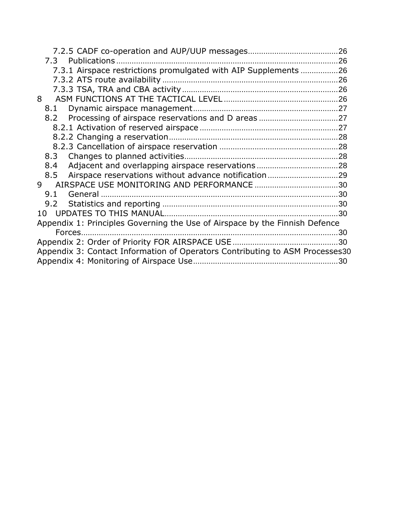| 7.3.1 Airspace restrictions promulgated with AIP Supplements 26              |     |
|------------------------------------------------------------------------------|-----|
|                                                                              |     |
|                                                                              |     |
| 8                                                                            |     |
| 8.1                                                                          |     |
|                                                                              |     |
|                                                                              |     |
|                                                                              |     |
|                                                                              |     |
| 8.3                                                                          |     |
| 8.4                                                                          |     |
| 8.5                                                                          |     |
| 9                                                                            |     |
| 9.1                                                                          |     |
|                                                                              |     |
|                                                                              |     |
| Appendix 1: Principles Governing the Use of Airspace by the Finnish Defence  |     |
|                                                                              |     |
|                                                                              | .30 |
| Appendix 3: Contact Information of Operators Contributing to ASM Processes30 |     |
|                                                                              |     |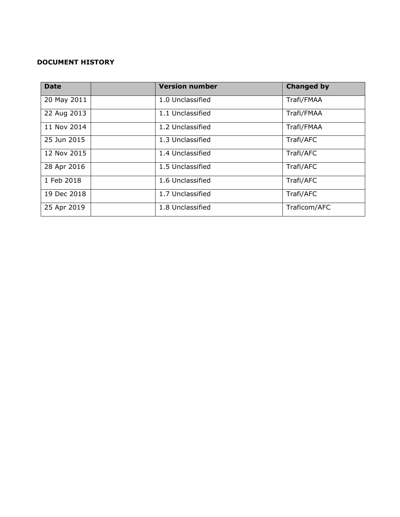## <span id="page-3-0"></span>**DOCUMENT HISTORY**

| <b>Date</b> | <b>Version number</b> | <b>Changed by</b> |
|-------------|-----------------------|-------------------|
| 20 May 2011 | 1.0 Unclassified      | Trafi/FMAA        |
| 22 Aug 2013 | 1.1 Unclassified      | Trafi/FMAA        |
| 11 Nov 2014 | 1.2 Unclassified      | Trafi/FMAA        |
| 25 Jun 2015 | 1.3 Unclassified      | Trafi/AFC         |
| 12 Nov 2015 | 1.4 Unclassified      | Trafi/AFC         |
| 28 Apr 2016 | 1.5 Unclassified      | Trafi/AFC         |
| 1 Feb 2018  | 1.6 Unclassified      | Trafi/AFC         |
| 19 Dec 2018 | 1.7 Unclassified      | Trafi/AFC         |
| 25 Apr 2019 | 1.8 Unclassified      | Traficom/AFC      |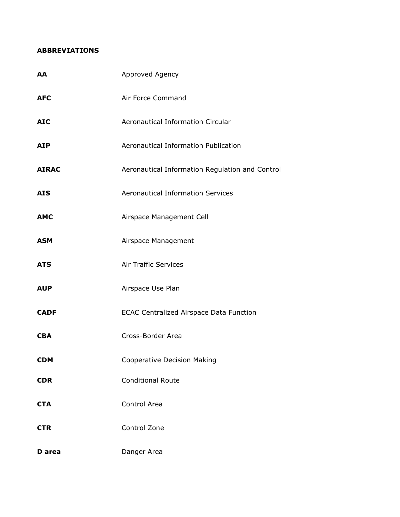#### <span id="page-4-0"></span>**ABBREVIATIONS**

| AA           | Approved Agency                                 |  |
|--------------|-------------------------------------------------|--|
| <b>AFC</b>   | Air Force Command                               |  |
| <b>AIC</b>   | Aeronautical Information Circular               |  |
| <b>AIP</b>   | Aeronautical Information Publication            |  |
| <b>AIRAC</b> | Aeronautical Information Regulation and Control |  |
| <b>AIS</b>   | <b>Aeronautical Information Services</b>        |  |
| <b>AMC</b>   | Airspace Management Cell                        |  |
| <b>ASM</b>   | Airspace Management                             |  |
| <b>ATS</b>   | <b>Air Traffic Services</b>                     |  |
| <b>AUP</b>   | Airspace Use Plan                               |  |
| <b>CADF</b>  | <b>ECAC Centralized Airspace Data Function</b>  |  |
| <b>CBA</b>   | Cross-Border Area                               |  |
| <b>CDM</b>   | Cooperative Decision Making                     |  |
| <b>CDR</b>   | <b>Conditional Route</b>                        |  |
| <b>CTA</b>   | Control Area                                    |  |
| <b>CTR</b>   | Control Zone                                    |  |
| D area       | Danger Area                                     |  |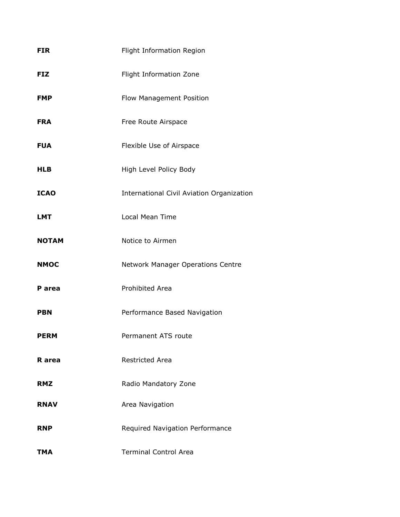| <b>FIR</b>   | Flight Information Region                 |  |
|--------------|-------------------------------------------|--|
| <b>FIZ</b>   | Flight Information Zone                   |  |
| <b>FMP</b>   | Flow Management Position                  |  |
| <b>FRA</b>   | Free Route Airspace                       |  |
| <b>FUA</b>   | Flexible Use of Airspace                  |  |
| <b>HLB</b>   | High Level Policy Body                    |  |
| <b>ICAO</b>  | International Civil Aviation Organization |  |
| <b>LMT</b>   | <b>Local Mean Time</b>                    |  |
| <b>NOTAM</b> | Notice to Airmen                          |  |
| <b>NMOC</b>  | Network Manager Operations Centre         |  |
| P area       | Prohibited Area                           |  |
| <b>PBN</b>   | Performance Based Navigation              |  |
| <b>PERM</b>  | Permanent ATS route                       |  |
| R area       | <b>Restricted Area</b>                    |  |
| <b>RMZ</b>   | Radio Mandatory Zone                      |  |
| <b>RNAV</b>  | Area Navigation                           |  |
| <b>RNP</b>   | Required Navigation Performance           |  |
| TMA          | <b>Terminal Control Area</b>              |  |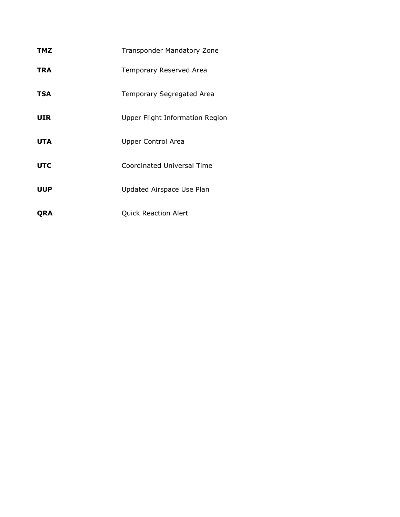| TMZ        | <b>Transponder Mandatory Zone</b> |
|------------|-----------------------------------|
| TRA        | Temporary Reserved Area           |
| <b>TSA</b> | Temporary Segregated Area         |
| UIR        | Upper Flight Information Region   |
| <b>UTA</b> | Upper Control Area                |
| <b>UTC</b> | <b>Coordinated Universal Time</b> |
| <b>UUP</b> | Updated Airspace Use Plan         |
|            |                                   |

**QRA** Quick Reaction Alert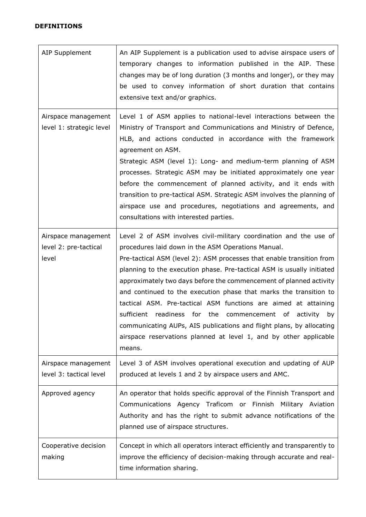# <span id="page-7-0"></span>**DEFINITIONS**

| <b>AIP Supplement</b>                                 | An AIP Supplement is a publication used to advise airspace users of<br>temporary changes to information published in the AIP. These<br>changes may be of long duration (3 months and longer), or they may<br>be used to convey information of short duration that contains<br>extensive text and/or graphics.                                                                                                                                                                                                                                                                                                                                                                                                         |
|-------------------------------------------------------|-----------------------------------------------------------------------------------------------------------------------------------------------------------------------------------------------------------------------------------------------------------------------------------------------------------------------------------------------------------------------------------------------------------------------------------------------------------------------------------------------------------------------------------------------------------------------------------------------------------------------------------------------------------------------------------------------------------------------|
| Airspace management<br>level 1: strategic level       | Level 1 of ASM applies to national-level interactions between the<br>Ministry of Transport and Communications and Ministry of Defence,<br>HLB, and actions conducted in accordance with the framework<br>agreement on ASM.<br>Strategic ASM (level 1): Long- and medium-term planning of ASM<br>processes. Strategic ASM may be initiated approximately one year<br>before the commencement of planned activity, and it ends with<br>transition to pre-tactical ASM. Strategic ASM involves the planning of<br>airspace use and procedures, negotiations and agreements, and<br>consultations with interested parties.                                                                                                |
| Airspace management<br>level 2: pre-tactical<br>level | Level 2 of ASM involves civil-military coordination and the use of<br>procedures laid down in the ASM Operations Manual.<br>Pre-tactical ASM (level 2): ASM processes that enable transition from<br>planning to the execution phase. Pre-tactical ASM is usually initiated<br>approximately two days before the commencement of planned activity<br>and continued to the execution phase that marks the transition to<br>tactical ASM. Pre-tactical ASM functions are aimed at attaining<br>sufficient<br>readiness for the<br>commencement of<br>activity by<br>communicating AUPs, AIS publications and flight plans, by allocating<br>airspace reservations planned at level 1, and by other applicable<br>means. |
| Airspace management<br>level 3: tactical level        | Level 3 of ASM involves operational execution and updating of AUP<br>produced at levels 1 and 2 by airspace users and AMC.                                                                                                                                                                                                                                                                                                                                                                                                                                                                                                                                                                                            |
| Approved agency                                       | An operator that holds specific approval of the Finnish Transport and<br>Communications Agency Traficom or Finnish Military Aviation<br>Authority and has the right to submit advance notifications of the<br>planned use of airspace structures.                                                                                                                                                                                                                                                                                                                                                                                                                                                                     |
| Cooperative decision<br>making                        | Concept in which all operators interact efficiently and transparently to<br>improve the efficiency of decision-making through accurate and real-<br>time information sharing.                                                                                                                                                                                                                                                                                                                                                                                                                                                                                                                                         |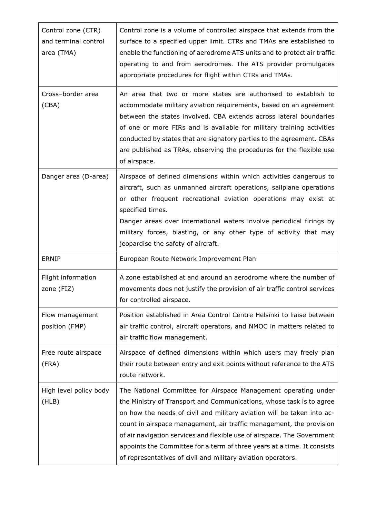| Control zone (CTR)<br>and terminal control<br>area (TMA) | Control zone is a volume of controlled airspace that extends from the<br>surface to a specified upper limit. CTRs and TMAs are established to<br>enable the functioning of aerodrome ATS units and to protect air traffic<br>operating to and from aerodromes. The ATS provider promulgates<br>appropriate procedures for flight within CTRs and TMAs.                                                                                                                                                        |
|----------------------------------------------------------|---------------------------------------------------------------------------------------------------------------------------------------------------------------------------------------------------------------------------------------------------------------------------------------------------------------------------------------------------------------------------------------------------------------------------------------------------------------------------------------------------------------|
| Cross-border area<br>(CBA)                               | An area that two or more states are authorised to establish to<br>accommodate military aviation requirements, based on an agreement<br>between the states involved. CBA extends across lateral boundaries<br>of one or more FIRs and is available for military training activities<br>conducted by states that are signatory parties to the agreement. CBAs<br>are published as TRAs, observing the procedures for the flexible use<br>of airspace.                                                           |
| Danger area (D-area)                                     | Airspace of defined dimensions within which activities dangerous to<br>aircraft, such as unmanned aircraft operations, sailplane operations<br>or other frequent recreational aviation operations may exist at<br>specified times.<br>Danger areas over international waters involve periodical firings by<br>military forces, blasting, or any other type of activity that may<br>jeopardise the safety of aircraft.                                                                                         |
| <b>ERNIP</b>                                             | European Route Network Improvement Plan                                                                                                                                                                                                                                                                                                                                                                                                                                                                       |
| Flight information<br>zone (FIZ)                         | A zone established at and around an aerodrome where the number of<br>movements does not justify the provision of air traffic control services<br>for controlled airspace.                                                                                                                                                                                                                                                                                                                                     |
| Flow management<br>position (FMP)                        | Position established in Area Control Centre Helsinki to liaise between<br>air traffic control, aircraft operators, and NMOC in matters related to<br>air traffic flow management.                                                                                                                                                                                                                                                                                                                             |
| Free route airspace<br>(FRA)                             | Airspace of defined dimensions within which users may freely plan<br>their route between entry and exit points without reference to the ATS<br>route network.                                                                                                                                                                                                                                                                                                                                                 |
| High level policy body<br>(HLB)                          | The National Committee for Airspace Management operating under<br>the Ministry of Transport and Communications, whose task is to agree<br>on how the needs of civil and military aviation will be taken into ac-<br>count in airspace management, air traffic management, the provision<br>of air navigation services and flexible use of airspace. The Government<br>appoints the Committee for a term of three years at a time. It consists<br>of representatives of civil and military aviation operators. |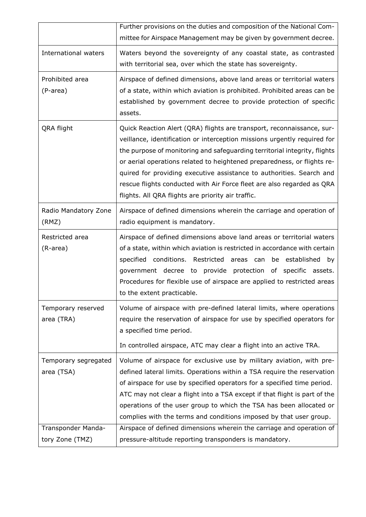| International waters<br>Waters beyond the sovereignty of any coastal state, as contrasted<br>with territorial sea, over which the state has sovereignty.                                                                                                                                                                                                                                                                                                                                                                         | mittee for Airspace Management may be given by government decree. |
|----------------------------------------------------------------------------------------------------------------------------------------------------------------------------------------------------------------------------------------------------------------------------------------------------------------------------------------------------------------------------------------------------------------------------------------------------------------------------------------------------------------------------------|-------------------------------------------------------------------|
|                                                                                                                                                                                                                                                                                                                                                                                                                                                                                                                                  |                                                                   |
| Airspace of defined dimensions, above land areas or territorial waters<br>Prohibited area<br>of a state, within which aviation is prohibited. Prohibited areas can be<br>(P-area)<br>established by government decree to provide protection of specific<br>assets.                                                                                                                                                                                                                                                               |                                                                   |
| QRA flight<br>Quick Reaction Alert (QRA) flights are transport, reconnaissance, sur-<br>veillance, identification or interception missions urgently required for<br>the purpose of monitoring and safeguarding territorial integrity, flights<br>or aerial operations related to heightened preparedness, or flights re-<br>quired for providing executive assistance to authorities. Search and<br>rescue flights conducted with Air Force fleet are also regarded as QRA<br>flights. All QRA flights are priority air traffic. |                                                                   |
| Radio Mandatory Zone<br>Airspace of defined dimensions wherein the carriage and operation of<br>(RMZ)<br>radio equipment is mandatory.                                                                                                                                                                                                                                                                                                                                                                                           |                                                                   |
| Restricted area<br>Airspace of defined dimensions above land areas or territorial waters<br>(R-area)<br>of a state, within which aviation is restricted in accordance with certain<br>specified conditions. Restricted areas can be established<br>government decree to provide protection of specific assets.<br>Procedures for flexible use of airspace are applied to restricted areas<br>to the extent practicable.                                                                                                          | by                                                                |
| Volume of airspace with pre-defined lateral limits, where operations<br>Temporary reserved<br>require the reservation of airspace for use by specified operators for<br>area (TRA)<br>a specified time period.                                                                                                                                                                                                                                                                                                                   |                                                                   |
| In controlled airspace, ATC may clear a flight into an active TRA.                                                                                                                                                                                                                                                                                                                                                                                                                                                               |                                                                   |
| Volume of airspace for exclusive use by military aviation, with pre-<br>Temporary segregated<br>defined lateral limits. Operations within a TSA require the reservation<br>area (TSA)<br>of airspace for use by specified operators for a specified time period.<br>ATC may not clear a flight into a TSA except if that flight is part of the<br>operations of the user group to which the TSA has been allocated or<br>complies with the terms and conditions imposed by that user group.                                      |                                                                   |
| Transponder Manda-<br>Airspace of defined dimensions wherein the carriage and operation of<br>tory Zone (TMZ)<br>pressure-altitude reporting transponders is mandatory.                                                                                                                                                                                                                                                                                                                                                          |                                                                   |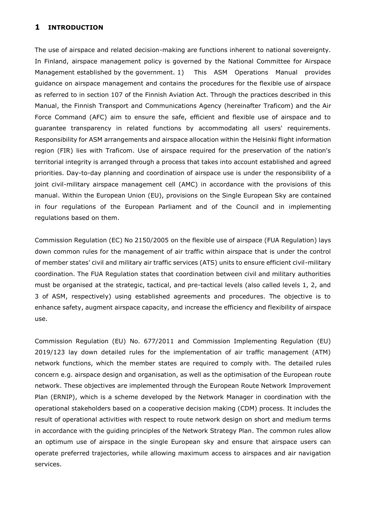#### <span id="page-10-0"></span>**1 INTRODUCTION**

The use of airspace and related decision-making are functions inherent to national sovereignty. In Finland, airspace management policy is governed by the National Committee for Airspace Management established by the government. 1) This ASM Operations Manual provides guidance on airspace management and contains the procedures for the flexible use of airspace as referred to in section 107 of the Finnish Aviation Act. Through the practices described in this Manual, the Finnish Transport and Communications Agency (hereinafter Traficom) and the Air Force Command (AFC) aim to ensure the safe, efficient and flexible use of airspace and to guarantee transparency in related functions by accommodating all users' requirements. Responsibility for ASM arrangements and airspace allocation within the Helsinki flight information region (FIR) lies with Traficom. Use of airspace required for the preservation of the nation's territorial integrity is arranged through a process that takes into account established and agreed priorities. Day-to-day planning and coordination of airspace use is under the responsibility of a joint civil-military airspace management cell (AMC) in accordance with the provisions of this manual. Within the European Union (EU), provisions on the Single European Sky are contained in four regulations of the European Parliament and of the Council and in implementing regulations based on them.

Commission Regulation (EC) No 2150/2005 on the flexible use of airspace (FUA Regulation) lays down common rules for the management of air traffic within airspace that is under the control of member states' civil and military air traffic services (ATS) units to ensure efficient civil-military coordination. The FUA Regulation states that coordination between civil and military authorities must be organised at the strategic, tactical, and pre-tactical levels (also called levels 1, 2, and 3 of ASM, respectively) using established agreements and procedures. The objective is to enhance safety, augment airspace capacity, and increase the efficiency and flexibility of airspace use.

Commission Regulation (EU) No. 677/2011 and Commission Implementing Regulation (EU) 2019/123 lay down detailed rules for the implementation of air traffic management (ATM) network functions, which the member states are required to comply with. The detailed rules concern e.g. airspace design and organisation, as well as the optimisation of the European route network. These objectives are implemented through the European Route Network Improvement Plan (ERNIP), which is a scheme developed by the Network Manager in coordination with the operational stakeholders based on a cooperative decision making (CDM) process. It includes the result of operational activities with respect to route network design on short and medium terms in accordance with the guiding principles of the Network Strategy Plan. The common rules allow an optimum use of airspace in the single European sky and ensure that airspace users can operate preferred trajectories, while allowing maximum access to airspaces and air navigation services.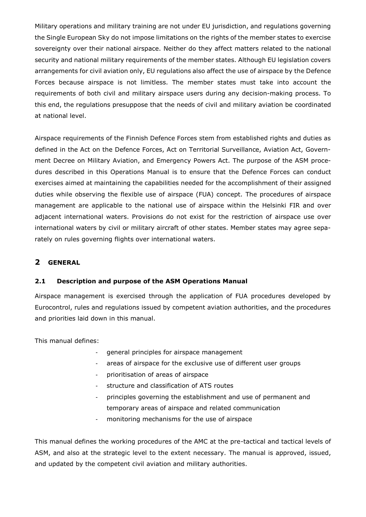Military operations and military training are not under EU jurisdiction, and regulations governing the Single European Sky do not impose limitations on the rights of the member states to exercise sovereignty over their national airspace. Neither do they affect matters related to the national security and national military requirements of the member states. Although EU legislation covers arrangements for civil aviation only, EU regulations also affect the use of airspace by the Defence Forces because airspace is not limitless. The member states must take into account the requirements of both civil and military airspace users during any decision-making process. To this end, the regulations presuppose that the needs of civil and military aviation be coordinated at national level.

Airspace requirements of the Finnish Defence Forces stem from established rights and duties as defined in the Act on the Defence Forces, Act on Territorial Surveillance, Aviation Act, Government Decree on Military Aviation, and Emergency Powers Act. The purpose of the ASM procedures described in this Operations Manual is to ensure that the Defence Forces can conduct exercises aimed at maintaining the capabilities needed for the accomplishment of their assigned duties while observing the flexible use of airspace (FUA) concept. The procedures of airspace management are applicable to the national use of airspace within the Helsinki FIR and over adjacent international waters. Provisions do not exist for the restriction of airspace use over international waters by civil or military aircraft of other states. Member states may agree separately on rules governing flights over international waters.

## <span id="page-11-1"></span><span id="page-11-0"></span>**2 GENERAL**

#### **2.1 Description and purpose of the ASM Operations Manual**

Airspace management is exercised through the application of FUA procedures developed by Eurocontrol, rules and regulations issued by competent aviation authorities, and the procedures and priorities laid down in this manual.

This manual defines:

- general principles for airspace management
- areas of airspace for the exclusive use of different user groups
- prioritisation of areas of airspace
- structure and classification of ATS routes
- principles governing the establishment and use of permanent and temporary areas of airspace and related communication
- monitoring mechanisms for the use of airspace

This manual defines the working procedures of the AMC at the pre-tactical and tactical levels of ASM, and also at the strategic level to the extent necessary. The manual is approved, issued, and updated by the competent civil aviation and military authorities.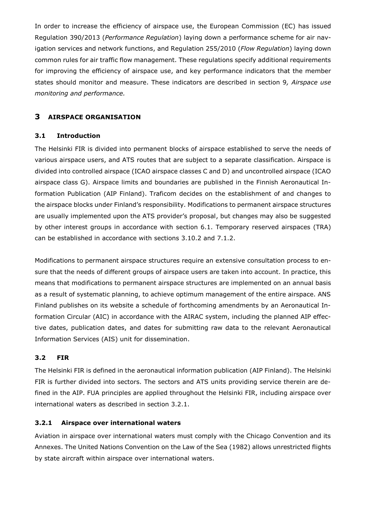In order to increase the efficiency of airspace use, the European Commission (EC) has issued Regulation 390/2013 (*Performance Regulation*) laying down a performance scheme for air navigation services and network functions, and Regulation 255/2010 (*Flow Regulation*) laying down common rules for air traffic flow management. These regulations specify additional requirements for improving the efficiency of airspace use, and key performance indicators that the member states should monitor and measure. These indicators are described in section 9*, Airspace use monitoring and performance.*

## <span id="page-12-1"></span><span id="page-12-0"></span>**3 AIRSPACE ORGANISATION**

#### **3.1 Introduction**

The Helsinki FIR is divided into permanent blocks of airspace established to serve the needs of various airspace users, and ATS routes that are subject to a separate classification. Airspace is divided into controlled airspace (ICAO airspace classes C and D) and uncontrolled airspace (ICAO airspace class G). Airspace limits and boundaries are published in the Finnish Aeronautical Information Publication (AIP Finland). Traficom decides on the establishment of and changes to the airspace blocks under Finland's responsibility. Modifications to permanent airspace structures are usually implemented upon the ATS provider's proposal, but changes may also be suggested by other interest groups in accordance with section 6.1. Temporary reserved airspaces (TRA) can be established in accordance with sections 3.10.2 and 7.1.2.

Modifications to permanent airspace structures require an extensive consultation process to ensure that the needs of different groups of airspace users are taken into account. In practice, this means that modifications to permanent airspace structures are implemented on an annual basis as a result of systematic planning, to achieve optimum management of the entire airspace. ANS Finland publishes on its website a schedule of forthcoming amendments by an Aeronautical Information Circular (AIC) in accordance with the AIRAC system, including the planned AIP effective dates, publication dates, and dates for submitting raw data to the relevant Aeronautical Information Services (AIS) unit for dissemination.

#### <span id="page-12-2"></span>**3.2 FIR**

<span id="page-12-3"></span>The Helsinki FIR is defined in the aeronautical information publication (AIP Finland). The Helsinki FIR is further divided into sectors. The sectors and ATS units providing service therein are defined in the AIP. FUA principles are applied throughout the Helsinki FIR, including airspace over international waters as described in section 3.2.1.

#### **3.2.1 Airspace over international waters**

Aviation in airspace over international waters must comply with the Chicago Convention and its Annexes. The United Nations Convention on the Law of the Sea (1982) allows unrestricted flights by state aircraft within airspace over international waters.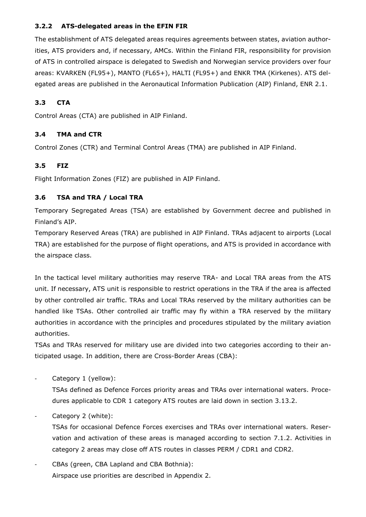#### <span id="page-13-0"></span>**3.2.2 ATS-delegated areas in the EFIN FIR**

<span id="page-13-1"></span>The establishment of ATS delegated areas requires agreements between states, aviation authorities, ATS providers and, if necessary, AMCs. Within the Finland FIR, responsibility for provision of ATS in controlled airspace is delegated to Swedish and Norwegian service providers over four areas: KVARKEN (FL95+), MANTO (FL65+), HALTI (FL95+) and ENKR TMA (Kirkenes). ATS delegated areas are published in the Aeronautical Information Publication (AIP) Finland, ENR 2.1.

## <span id="page-13-2"></span>**3.3 CTA**

Control Areas (CTA) are published in AIP Finland.

#### <span id="page-13-3"></span>**3.4 TMA and CTR**

Control Zones (CTR) and Terminal Control Areas (TMA) are published in AIP Finland.

## <span id="page-13-4"></span>**3.5 FIZ**

Flight Information Zones (FIZ) are published in AIP Finland.

#### **3.6 TSA and TRA / Local TRA**

Temporary Segregated Areas (TSA) are established by Government decree and published in Finland's AIP.

Temporary Reserved Areas (TRA) are published in AIP Finland. TRAs adjacent to airports (Local TRA) are established for the purpose of flight operations, and ATS is provided in accordance with the airspace class.

In the tactical level military authorities may reserve TRA- and Local TRA areas from the ATS unit. If necessary, ATS unit is responsible to restrict operations in the TRA if the area is affected by other controlled air traffic. TRAs and Local TRAs reserved by the military authorities can be handled like TSAs. Other controlled air traffic may fly within a TRA reserved by the military authorities in accordance with the principles and procedures stipulated by the military aviation authorities.

TSAs and TRAs reserved for military use are divided into two categories according to their anticipated usage. In addition, there are Cross-Border Areas (CBA):

Category 1 (yellow):

TSAs defined as Defence Forces priority areas and TRAs over international waters. Procedures applicable to CDR 1 category ATS routes are laid down in section 3.13.2.

Category 2 (white):

TSAs for occasional Defence Forces exercises and TRAs over international waters. Reservation and activation of these areas is managed according to section 7.1.2. Activities in category 2 areas may close off ATS routes in classes PERM / CDR1 and CDR2.

CBAs (green, CBA Lapland and CBA Bothnia): Airspace use priorities are described in Appendix 2.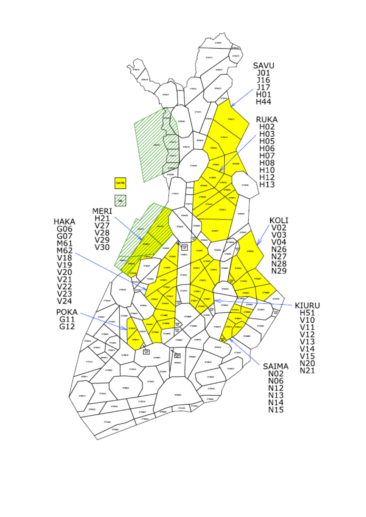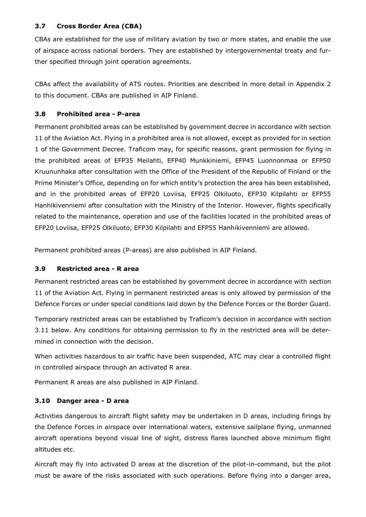#### <span id="page-15-0"></span>**3.7 Cross Border Area (CBA)**

CBAs are established for the use of military aviation by two or more states, and enable the use of airspace across national borders. They are established by intergovernmental treaty and further specified through joint operation agreements.

<span id="page-15-1"></span>CBAs affect the availability of ATS routes. Priorities are described in more detail in Appendix 2 to this document. CBAs are published in AIP Finland.

## **3.8 Prohibited area - P-area**

Permanent prohibited areas can be established by government decree in accordance with section 11 of the Aviation Act. Flying in a prohibited area is not allowed, except as provided for in section 1 of the Government Decree. Traficom may, for specific reasons, grant permission for flying in the prohibited areas of EFP35 Meilahti, EFP40 Munkkiniemi, EFP45 Luonnonmaa or EFP50 Kruununhaka after consultation with the Office of the President of the Republic of Finland or the Prime Minister's Office, depending on for which entity's protection the area has been established, and in the prohibited areas of EFP20 Loviisa, EFP25 Olkiluoto, EFP30 Kilpilahti or EFP55 Hanhikivenniemi after consultation with the Ministry of the Interior. However, flights specifically related to the maintenance, operation and use of the facilities located in the prohibited areas of EFP20 Loviisa, EFP25 Olkiluoto, EFP30 Kilpilahti and EFP55 Hanhikivenniemi are allowed.

<span id="page-15-2"></span>Permanent prohibited areas (P-areas) are also published in AIP Finland.

## **3.9 Restricted area - R area**

Permanent restricted areas can be established by government decree in accordance with section 11 of the Aviation Act. Flying in permanent restricted areas is only allowed by permission of the Defence Forces or under special conditions laid down by the Defence Forces or the Border Guard.

Temporary restricted areas can be established by Traficom's decision in accordance with section 3.11 below. Any conditions for obtaining permission to fly in the restricted area will be determined in connection with the decision.

<span id="page-15-3"></span>When activities hazardous to air traffic have been suspended, ATC may clear a controlled flight in controlled airspace through an activated R area.

Permanent R areas are also published in AIP Finland.

## **3.10 Danger area - D area**

Activities dangerous to aircraft flight safety may be undertaken in D areas, including firings by the Defence Forces in airspace over international waters, extensive sailplane flying, unmanned aircraft operations beyond visual line of sight, distress flares launched above minimum flight altitudes etc.

Aircraft may fly into activated D areas at the discretion of the pilot-in-command, but the pilot must be aware of the risks associated with such operations. Before flying into a danger area,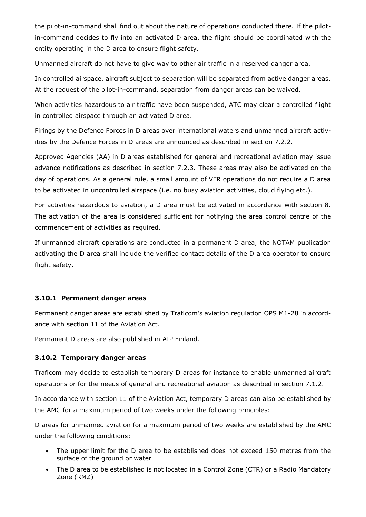the pilot-in-command shall find out about the nature of operations conducted there. If the pilotin-command decides to fly into an activated D area, the flight should be coordinated with the entity operating in the D area to ensure flight safety.

Unmanned aircraft do not have to give way to other air traffic in a reserved danger area.

In controlled airspace, aircraft subject to separation will be separated from active danger areas. At the request of the pilot-in-command, separation from danger areas can be waived.

When activities hazardous to air traffic have been suspended, ATC may clear a controlled flight in controlled airspace through an activated D area.

Firings by the Defence Forces in D areas over international waters and unmanned aircraft activities by the Defence Forces in D areas are announced as described in section 7.2.2.

Approved Agencies (AA) in D areas established for general and recreational aviation may issue advance notifications as described in section 7.2.3. These areas may also be activated on the day of operations. As a general rule, a small amount of VFR operations do not require a D area to be activated in uncontrolled airspace (i.e. no busy aviation activities, cloud flying etc.).

For activities hazardous to aviation, a D area must be activated in accordance with section 8. The activation of the area is considered sufficient for notifying the area control centre of the commencement of activities as required.

<span id="page-16-0"></span>If unmanned aircraft operations are conducted in a permanent D area, the NOTAM publication activating the D area shall include the verified contact details of the D area operator to ensure flight safety.

#### **3.10.1 Permanent danger areas**

<span id="page-16-1"></span>Permanent danger areas are established by Traficom's aviation regulation OPS M1-28 in accordance with section 11 of the Aviation Act.

Permanent D areas are also published in AIP Finland.

## **3.10.2 Temporary danger areas**

Traficom may decide to establish temporary D areas for instance to enable unmanned aircraft operations or for the needs of general and recreational aviation as described in section 7.1.2.

In accordance with section 11 of the Aviation Act, temporary D areas can also be established by the AMC for a maximum period of two weeks under the following principles:

D areas for unmanned aviation for a maximum period of two weeks are established by the AMC under the following conditions:

- The upper limit for the D area to be established does not exceed 150 metres from the surface of the ground or water
- The D area to be established is not located in a Control Zone (CTR) or a Radio Mandatory Zone (RMZ)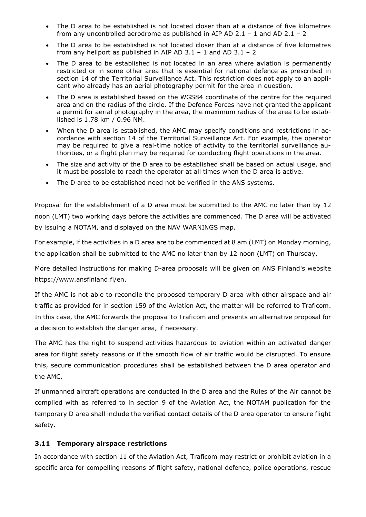- The D area to be established is not located closer than at a distance of five kilometres from any uncontrolled aerodrome as published in AIP AD 2.1 – 1 and AD 2.1 – 2
- The D area to be established is not located closer than at a distance of five kilometres from any heliport as published in AIP AD  $3.1 - 1$  and AD  $3.1 - 2$
- The D area to be established is not located in an area where aviation is permanently restricted or in some other area that is essential for national defence as prescribed in section 14 of the Territorial Surveillance Act. This restriction does not apply to an applicant who already has an aerial photography permit for the area in question.
- The D area is established based on the WGS84 coordinate of the centre for the required area and on the radius of the circle. If the Defence Forces have not granted the applicant a permit for aerial photography in the area, the maximum radius of the area to be established is 1.78 km / 0.96 NM.
- When the D area is established, the AMC may specify conditions and restrictions in accordance with section 14 of the Territorial Surveillance Act. For example, the operator may be required to give a real-time notice of activity to the territorial surveillance authorities, or a flight plan may be required for conducting flight operations in the area.
- The size and activity of the D area to be established shall be based on actual usage, and it must be possible to reach the operator at all times when the D area is active.
- The D area to be established need not be verified in the ANS systems.

Proposal for the establishment of a D area must be submitted to the AMC no later than by 12 noon (LMT) two working days before the activities are commenced. The D area will be activated by issuing a NOTAM, and displayed on the NAV WARNINGS map.

For example, if the activities in a D area are to be commenced at 8 am (LMT) on Monday morning, the application shall be submitted to the AMC no later than by 12 noon (LMT) on Thursday.

More detailed instructions for making D-area proposals will be given on ANS Finland's website https://www.ansfinland.fi/en.

If the AMC is not able to reconcile the proposed temporary D area with other airspace and air traffic as provided for in section 159 of the Aviation Act, the matter will be referred to Traficom. In this case, the AMC forwards the proposal to Traficom and presents an alternative proposal for a decision to establish the danger area, if necessary.

The AMC has the right to suspend activities hazardous to aviation within an activated danger area for flight safety reasons or if the smooth flow of air traffic would be disrupted. To ensure this, secure communication procedures shall be established between the D area operator and the AMC.

<span id="page-17-0"></span>If unmanned aircraft operations are conducted in the D area and the Rules of the Air cannot be complied with as referred to in section 9 of the Aviation Act, the NOTAM publication for the temporary D area shall include the verified contact details of the D area operator to ensure flight safety.

## **3.11 Temporary airspace restrictions**

In accordance with section 11 of the Aviation Act, Traficom may restrict or prohibit aviation in a specific area for compelling reasons of flight safety, national defence, police operations, rescue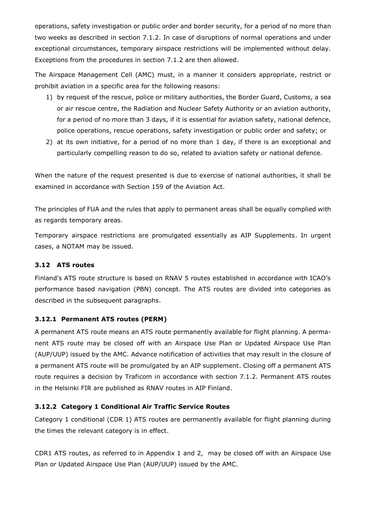operations, safety investigation or public order and border security, for a period of no more than two weeks as described in section 7.1.2. In case of disruptions of normal operations and under exceptional circumstances, temporary airspace restrictions will be implemented without delay. Exceptions from the procedures in section 7.1.2 are then allowed.

The Airspace Management Cell (AMC) must, in a manner it considers appropriate, restrict or prohibit aviation in a specific area for the following reasons:

- 1) by request of the rescue, police or military authorities, the Border Guard, Customs, a sea or air rescue centre, the Radiation and Nuclear Safety Authority or an aviation authority, for a period of no more than 3 days, if it is essential for aviation safety, national defence, police operations, rescue operations, safety investigation or public order and safety; or
- 2) at its own initiative, for a period of no more than 1 day, if there is an exceptional and particularly compelling reason to do so, related to aviation safety or national defence.

When the nature of the request presented is due to exercise of national authorities, it shall be examined in accordance with Section 159 of the Aviation Act.

The principles of FUA and the rules that apply to permanent areas shall be equally complied with as regards temporary areas.

<span id="page-18-0"></span>Temporary airspace restrictions are promulgated essentially as AIP Supplements. In urgent cases, a NOTAM may be issued.

## **3.12 ATS routes**

<span id="page-18-1"></span>Finland's ATS route structure is based on RNAV 5 routes established in accordance with ICAO's performance based navigation (PBN) concept. The ATS routes are divided into categories as described in the subsequent paragraphs.

#### **3.12.1 Permanent ATS routes (PERM)**

<span id="page-18-2"></span>A permanent ATS route means an ATS route permanently available for flight planning. A permanent ATS route may be closed off with an Airspace Use Plan or Updated Airspace Use Plan (AUP/UUP) issued by the AMC. Advance notification of activities that may result in the closure of a permanent ATS route will be promulgated by an AIP supplement. Closing off a permanent ATS route requires a decision by Traficom in accordance with section 7.1.2. Permanent ATS routes in the Helsinki FIR are published as RNAV routes in AIP Finland.

## **3.12.2 Category 1 Conditional Air Traffic Service Routes**

Category 1 conditional (CDR 1) ATS routes are permanently available for flight planning during the times the relevant category is in effect.

CDR1 ATS routes, as referred to in Appendix 1 and 2, may be closed off with an Airspace Use Plan or Updated Airspace Use Plan (AUP/UUP) issued by the AMC.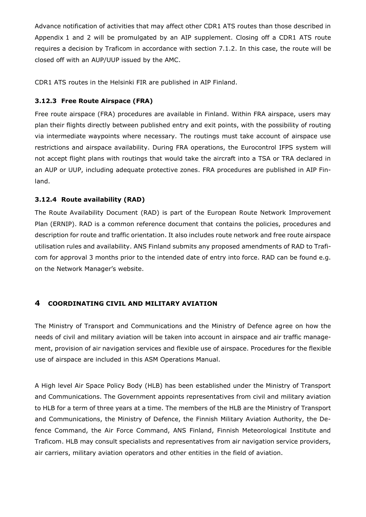Advance notification of activities that may affect other CDR1 ATS routes than those described in Appendix 1 and 2 will be promulgated by an AIP supplement. Closing off a CDR1 ATS route requires a decision by Traficom in accordance with section 7.1.2. In this case, the route will be closed off with an AUP/UUP issued by the AMC.

<span id="page-19-0"></span>CDR1 ATS routes in the Helsinki FIR are published in AIP Finland.

#### **3.12.3 Free Route Airspace (FRA)**

Free route airspace (FRA) procedures are available in Finland. Within FRA airspace, users may plan their flights directly between published entry and exit points, with the possibility of routing via intermediate waypoints where necessary. The routings must take account of airspace use restrictions and airspace availability. During FRA operations, the Eurocontrol IFPS system will not accept flight plans with routings that would take the aircraft into a TSA or TRA declared in an AUP or UUP, including adequate protective zones. FRA procedures are published in AIP Finland.

#### <span id="page-19-1"></span>**3.12.4 Route availability (RAD)**

The Route Availability Document (RAD) is part of the European Route Network Improvement Plan (ERNIP). RAD is a common reference document that contains the policies, procedures and description for route and traffic orientation. It also includes route network and free route airspace utilisation rules and availability. ANS Finland submits any proposed amendments of RAD to Traficom for approval 3 months prior to the intended date of entry into force. RAD can be found e.g. on the Network Manager's website.

## <span id="page-19-2"></span>**4 COORDINATING CIVIL AND MILITARY AVIATION**

The Ministry of Transport and Communications and the Ministry of Defence agree on how the needs of civil and military aviation will be taken into account in airspace and air traffic management, provision of air navigation services and flexible use of airspace. Procedures for the flexible use of airspace are included in this ASM Operations Manual.

A High level Air Space Policy Body (HLB) has been established under the Ministry of Transport and Communications. The Government appoints representatives from civil and military aviation to HLB for a term of three years at a time. The members of the HLB are the Ministry of Transport and Communications, the Ministry of Defence, the Finnish Military Aviation Authority, the Defence Command, the Air Force Command, ANS Finland, Finnish Meteorological Institute and Traficom. HLB may consult specialists and representatives from air navigation service providers, air carriers, military aviation operators and other entities in the field of aviation.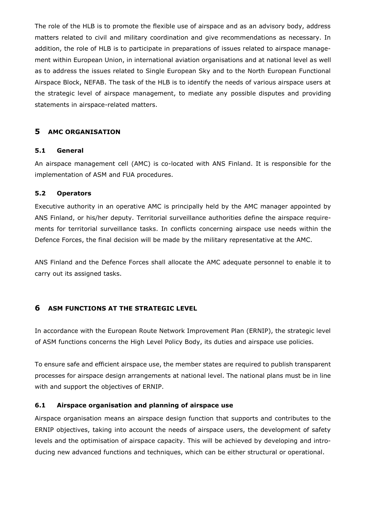The role of the HLB is to promote the flexible use of airspace and as an advisory body, address matters related to civil and military coordination and give recommendations as necessary. In addition, the role of HLB is to participate in preparations of issues related to airspace management within European Union, in international aviation organisations and at national level as well as to address the issues related to Single European Sky and to the North European Functional Airspace Block, NEFAB. The task of the HLB is to identify the needs of various airspace users at the strategic level of airspace management, to mediate any possible disputes and providing statements in airspace-related matters.

## <span id="page-20-1"></span><span id="page-20-0"></span>**5 AMC ORGANISATION**

#### <span id="page-20-2"></span>**5.1 General**

An airspace management cell (AMC) is co-located with ANS Finland. It is responsible for the implementation of ASM and FUA procedures.

#### **5.2 Operators**

Executive authority in an operative AMC is principally held by the AMC manager appointed by ANS Finland, or his/her deputy. Territorial surveillance authorities define the airspace requirements for territorial surveillance tasks. In conflicts concerning airspace use needs within the Defence Forces, the final decision will be made by the military representative at the AMC.

<span id="page-20-3"></span>ANS Finland and the Defence Forces shall allocate the AMC adequate personnel to enable it to carry out its assigned tasks.

## **6 ASM FUNCTIONS AT THE STRATEGIC LEVEL**

In accordance with the European Route Network Improvement Plan (ERNIP), the strategic level of ASM functions concerns the High Level Policy Body, its duties and airspace use policies.

<span id="page-20-4"></span>To ensure safe and efficient airspace use, the member states are required to publish transparent processes for airspace design arrangements at national level. The national plans must be in line with and support the objectives of ERNIP.

## **6.1 Airspace organisation and planning of airspace use**

Airspace organisation means an airspace design function that supports and contributes to the ERNIP objectives, taking into account the needs of airspace users, the development of safety levels and the optimisation of airspace capacity. This will be achieved by developing and introducing new advanced functions and techniques, which can be either structural or operational.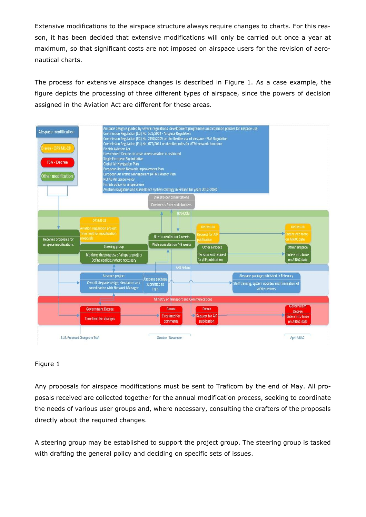Extensive modifications to the airspace structure always require changes to charts. For this reason, it has been decided that extensive modifications will only be carried out once a year at maximum, so that significant costs are not imposed on airspace users for the revision of aeronautical charts.

The process for extensive airspace changes is described in Figure 1. As a case example, the figure depicts the processing of three different types of airspace, since the powers of decision assigned in the Aviation Act are different for these areas.



## Figure 1

Any proposals for airspace modifications must be sent to Traficom by the end of May. All proposals received are collected together for the annual modification process, seeking to coordinate the needs of various user groups and, where necessary, consulting the drafters of the proposals directly about the required changes.

A steering group may be established to support the project group. The steering group is tasked with drafting the general policy and deciding on specific sets of issues.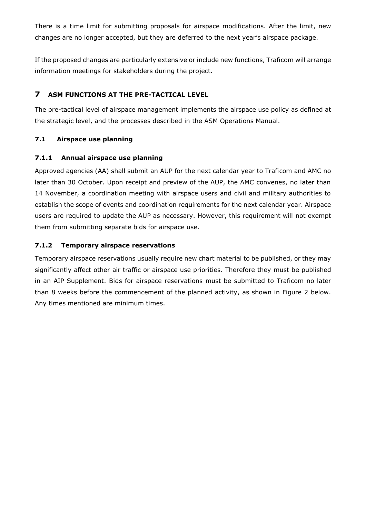There is a time limit for submitting proposals for airspace modifications. After the limit, new changes are no longer accepted, but they are deferred to the next year's airspace package.

<span id="page-22-0"></span>If the proposed changes are particularly extensive or include new functions, Traficom will arrange information meetings for stakeholders during the project.

## <span id="page-22-1"></span>**7 ASM FUNCTIONS AT THE PRE-TACTICAL LEVEL**

<span id="page-22-2"></span>The pre-tactical level of airspace management implements the airspace use policy as defined at the strategic level, and the processes described in the ASM Operations Manual.

## **7.1 Airspace use planning**

## **7.1.1 Annual airspace use planning**

<span id="page-22-3"></span>Approved agencies (AA) shall submit an AUP for the next calendar year to Traficom and AMC no later than 30 October. Upon receipt and preview of the AUP, the AMC convenes, no later than 14 November, a coordination meeting with airspace users and civil and military authorities to establish the scope of events and coordination requirements for the next calendar year. Airspace users are required to update the AUP as necessary. However, this requirement will not exempt them from submitting separate bids for airspace use.

## **7.1.2 Temporary airspace reservations**

Temporary airspace reservations usually require new chart material to be published, or they may significantly affect other air traffic or airspace use priorities. Therefore they must be published in an AIP Supplement. Bids for airspace reservations must be submitted to Traficom no later than 8 weeks before the commencement of the planned activity, as shown in Figure 2 below. Any times mentioned are minimum times.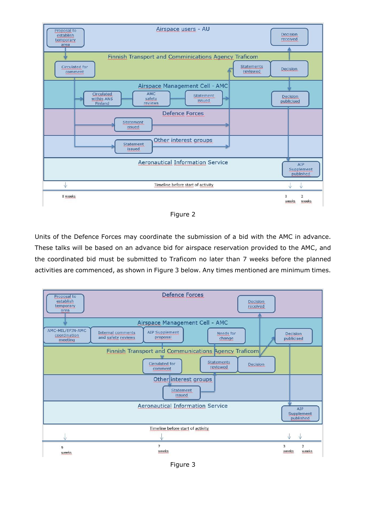

Figure 2

Units of the Defence Forces may coordinate the submission of a bid with the AMC in advance. These talks will be based on an advance bid for airspace reservation provided to the AMC, and the coordinated bid must be submitted to Traficom no later than 7 weeks before the planned activities are commenced, as shown in Figure 3 below. Any times mentioned are minimum times.



Figure 3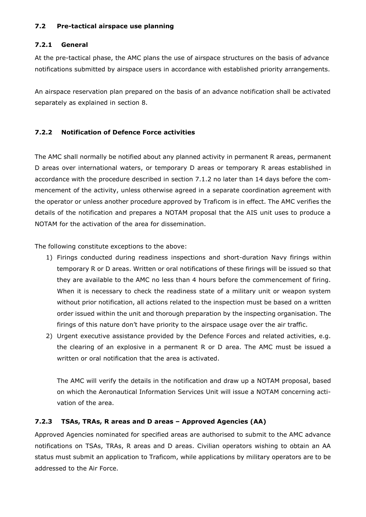#### <span id="page-24-1"></span><span id="page-24-0"></span>**7.2 Pre-tactical airspace use planning**

#### **7.2.1 General**

At the pre-tactical phase, the AMC plans the use of airspace structures on the basis of advance notifications submitted by airspace users in accordance with established priority arrangements.

<span id="page-24-2"></span>An airspace reservation plan prepared on the basis of an advance notification shall be activated separately as explained in section 8.

## **7.2.2 Notification of Defence Force activities**

The AMC shall normally be notified about any planned activity in permanent R areas, permanent D areas over international waters, or temporary D areas or temporary R areas established in accordance with the procedure described in section 7.1.2 no later than 14 days before the commencement of the activity, unless otherwise agreed in a separate coordination agreement with the operator or unless another procedure approved by Traficom is in effect. The AMC verifies the details of the notification and prepares a NOTAM proposal that the AIS unit uses to produce a NOTAM for the activation of the area for dissemination.

The following constitute exceptions to the above:

- 1) Firings conducted during readiness inspections and short-duration Navy firings within temporary R or D areas. Written or oral notifications of these firings will be issued so that they are available to the AMC no less than 4 hours before the commencement of firing. When it is necessary to check the readiness state of a military unit or weapon system without prior notification, all actions related to the inspection must be based on a written order issued within the unit and thorough preparation by the inspecting organisation. The firings of this nature don't have priority to the airspace usage over the air traffic.
- 2) Urgent executive assistance provided by the Defence Forces and related activities, e.g. the clearing of an explosive in a permanent R or D area. The AMC must be issued a written or oral notification that the area is activated.

<span id="page-24-3"></span>The AMC will verify the details in the notification and draw up a NOTAM proposal, based on which the Aeronautical Information Services Unit will issue a NOTAM concerning activation of the area.

## **7.2.3 TSAs, TRAs, R areas and D areas – Approved Agencies (AA)**

Approved Agencies nominated for specified areas are authorised to submit to the AMC advance notifications on TSAs, TRAs, R areas and D areas. Civilian operators wishing to obtain an AA status must submit an application to Traficom, while applications by military operators are to be addressed to the Air Force.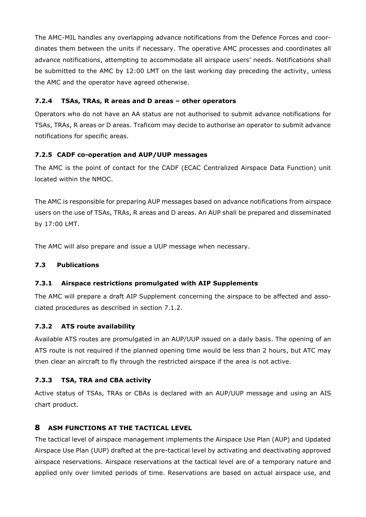<span id="page-25-0"></span>The AMC-MIL handles any overlapping advance notifications from the Defence Forces and coordinates them between the units if necessary. The operative AMC processes and coordinates all advance notifications, attempting to accommodate all airspace users' needs. Notifications shall be submitted to the AMC by 12:00 LMT on the last working day preceding the activity, unless the AMC and the operator have agreed otherwise.

## **7.2.4 TSAs, TRAs, R areas and D areas – other operators**

<span id="page-25-1"></span>Operators who do not have an AA status are not authorised to submit advance notifications for TSAs, TRAs, R areas or D areas. Traficom may decide to authorise an operator to submit advance notifications for specific areas.

#### **7.2.5 CADF co-operation and AUP/UUP messages**

The AMC is the point of contact for the CADF (ECAC Centralized Airspace Data Function) unit located within the NMOC.

The AMC is responsible for preparing AUP messages based on advance notifications from airspace users on the use of TSAs, TRAs, R areas and D areas. An AUP shall be prepared and disseminated by 17:00 LMT.

<span id="page-25-3"></span><span id="page-25-2"></span>The AMC will also prepare and issue a UUP message when necessary.

## **7.3 Publications**

## <span id="page-25-4"></span>**7.3.1 Airspace restrictions promulgated with AIP Supplements**

The AMC will prepare a draft AIP Supplement concerning the airspace to be affected and associated procedures as described in section 7.1.2.

#### **7.3.2 ATS route availability**

<span id="page-25-5"></span>Available ATS routes are promulgated in an AUP/UUP issued on a daily basis. The opening of an ATS route is not required if the planned opening time would be less than 2 hours, but ATC may then clear an aircraft to fly through the restricted airspace if the area is not active.

## **7.3.3 TSA, TRA and CBA activity**

<span id="page-25-6"></span>Active status of TSAs, TRAs or CBAs is declared with an AUP/UUP message and using an AIS chart product.

## **8 ASM FUNCTIONS AT THE TACTICAL LEVEL**

The tactical level of airspace management implements the Airspace Use Plan (AUP) and Updated Airspace Use Plan (UUP) drafted at the pre-tactical level by activating and deactivating approved airspace reservations. Airspace reservations at the tactical level are of a temporary nature and applied only over limited periods of time. Reservations are based on actual airspace use, and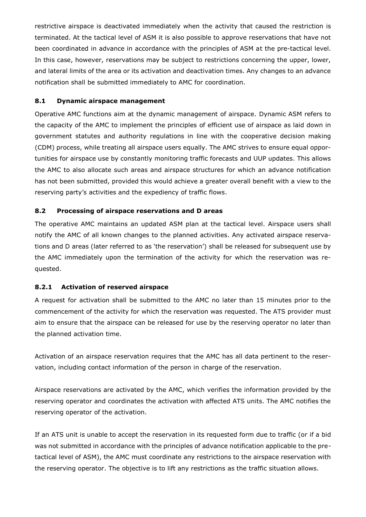<span id="page-26-0"></span>restrictive airspace is deactivated immediately when the activity that caused the restriction is terminated. At the tactical level of ASM it is also possible to approve reservations that have not been coordinated in advance in accordance with the principles of ASM at the pre-tactical level. In this case, however, reservations may be subject to restrictions concerning the upper, lower, and lateral limits of the area or its activation and deactivation times. Any changes to an advance notification shall be submitted immediately to AMC for coordination.

#### **8.1 Dynamic airspace management**

Operative AMC functions aim at the dynamic management of airspace. Dynamic ASM refers to the capacity of the AMC to implement the principles of efficient use of airspace as laid down in government statutes and authority regulations in line with the cooperative decision making (CDM) process, while treating all airspace users equally. The AMC strives to ensure equal opportunities for airspace use by constantly monitoring traffic forecasts and UUP updates. This allows the AMC to also allocate such areas and airspace structures for which an advance notification has not been submitted, provided this would achieve a greater overall benefit with a view to the reserving party's activities and the expediency of traffic flows.

#### <span id="page-26-1"></span>**8.2 Processing of airspace reservations and D areas**

<span id="page-26-2"></span>The operative AMC maintains an updated ASM plan at the tactical level. Airspace users shall notify the AMC of all known changes to the planned activities. Any activated airspace reservations and D areas (later referred to as 'the reservation') shall be released for subsequent use by the AMC immediately upon the termination of the activity for which the reservation was requested.

## **8.2.1 Activation of reserved airspace**

A request for activation shall be submitted to the AMC no later than 15 minutes prior to the commencement of the activity for which the reservation was requested. The ATS provider must aim to ensure that the airspace can be released for use by the reserving operator no later than the planned activation time.

Activation of an airspace reservation requires that the AMC has all data pertinent to the reservation, including contact information of the person in charge of the reservation.

Airspace reservations are activated by the AMC, which verifies the information provided by the reserving operator and coordinates the activation with affected ATS units. The AMC notifies the reserving operator of the activation.

If an ATS unit is unable to accept the reservation in its requested form due to traffic (or if a bid was not submitted in accordance with the principles of advance notification applicable to the pretactical level of ASM), the AMC must coordinate any restrictions to the airspace reservation with the reserving operator. The objective is to lift any restrictions as the traffic situation allows.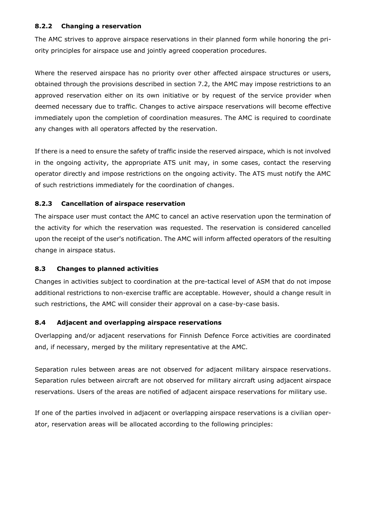#### <span id="page-27-0"></span>**8.2.2 Changing a reservation**

The AMC strives to approve airspace reservations in their planned form while honoring the priority principles for airspace use and jointly agreed cooperation procedures.

Where the reserved airspace has no priority over other affected airspace structures or users, obtained through the provisions described in section 7.2, the AMC may impose restrictions to an approved reservation either on its own initiative or by request of the service provider when deemed necessary due to traffic. Changes to active airspace reservations will become effective immediately upon the completion of coordination measures. The AMC is required to coordinate any changes with all operators affected by the reservation.

<span id="page-27-1"></span>If there is a need to ensure the safety of traffic inside the reserved airspace, which is not involved in the ongoing activity, the appropriate ATS unit may, in some cases, contact the reserving operator directly and impose restrictions on the ongoing activity. The ATS must notify the AMC of such restrictions immediately for the coordination of changes.

## **8.2.3 Cancellation of airspace reservation**

<span id="page-27-2"></span>The airspace user must contact the AMC to cancel an active reservation upon the termination of the activity for which the reservation was requested. The reservation is considered cancelled upon the receipt of the user's notification. The AMC will inform affected operators of the resulting change in airspace status.

## **8.3 Changes to planned activities**

<span id="page-27-3"></span>Changes in activities subject to coordination at the pre-tactical level of ASM that do not impose additional restrictions to non-exercise traffic are acceptable. However, should a change result in such restrictions, the AMC will consider their approval on a case-by-case basis.

## **8.4 Adjacent and overlapping airspace reservations**

Overlapping and/or adjacent reservations for Finnish Defence Force activities are coordinated and, if necessary, merged by the military representative at the AMC.

Separation rules between areas are not observed for adjacent military airspace reservations. Separation rules between aircraft are not observed for military aircraft using adjacent airspace reservations. Users of the areas are notified of adjacent airspace reservations for military use.

If one of the parties involved in adjacent or overlapping airspace reservations is a civilian operator, reservation areas will be allocated according to the following principles: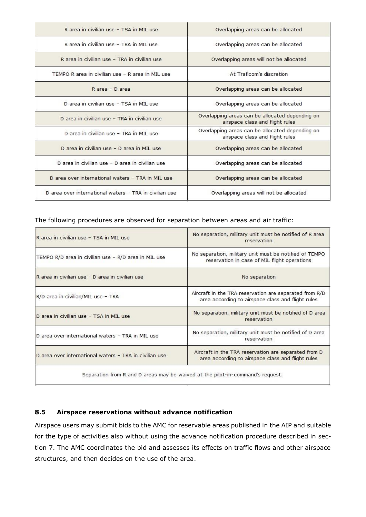| R area in civilian use - TSA in MIL use                | Overlapping areas can be allocated                                                 |
|--------------------------------------------------------|------------------------------------------------------------------------------------|
| R area in civilian use - TRA in MIL use                | Overlapping areas can be allocated                                                 |
| R area in civilian use - TRA in civilian use           | Overlapping areas will not be allocated                                            |
| TEMPO R area in civilian use - R area in MIL use       | At Traficom's discretion                                                           |
| R area - D area                                        | Overlapping areas can be allocated                                                 |
| D area in civilian use - TSA in MIL use                | Overlapping areas can be allocated                                                 |
| D area in civilian use - TRA in civilian use           | Overlapping areas can be allocated depending on<br>airspace class and flight rules |
| D area in civilian use - TRA in MIL use                | Overlapping areas can be allocated depending on<br>airspace class and flight rules |
| D area in civilian use - D area in MIL use             | Overlapping areas can be allocated                                                 |
| D area in civilian use - D area in civilian use        | Overlapping areas can be allocated                                                 |
| D area over international waters - TRA in MIL use      | Overlapping areas can be allocated                                                 |
| D area over international waters - TRA in civilian use | Overlapping areas will not be allocated                                            |

#### The following procedures are observed for separation between areas and air traffic:

| No separation, military unit must be notified of R area<br>reservation                                      |
|-------------------------------------------------------------------------------------------------------------|
| No separation, military unit must be notified of TEMPO<br>reservation in case of MIL flight operations      |
| No separation                                                                                               |
| Aircraft in the TRA reservation are separated from R/D<br>area according to airspace class and flight rules |
| No separation, military unit must be notified of D area<br>reservation                                      |
| No separation, military unit must be notified of D area<br>reservation                                      |
| Aircraft in the TRA reservation are separated from D<br>area according to airspace class and flight rules   |
|                                                                                                             |

Separation from R and D areas may be waived at the pilot-in-command's request.

#### <span id="page-28-0"></span>**8.5 Airspace reservations without advance notification**

Airspace users may submit bids to the AMC for reservable areas published in the AIP and suitable for the type of activities also without using the advance notification procedure described in section 7. The AMC coordinates the bid and assesses its effects on traffic flows and other airspace structures, and then decides on the use of the area.